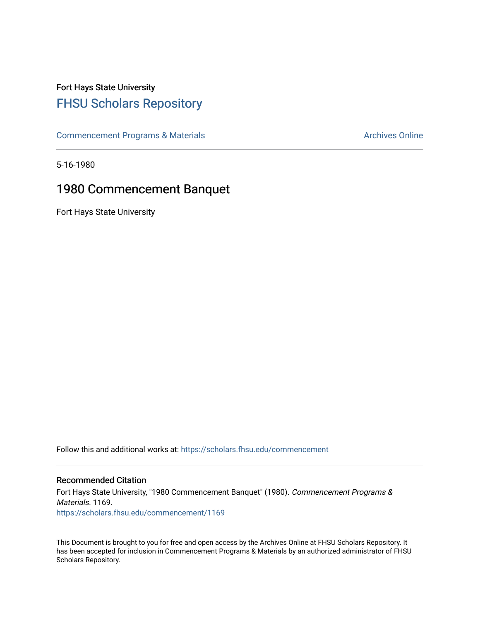## Fort Hays State University [FHSU Scholars Repository](https://scholars.fhsu.edu/)

[Commencement Programs & Materials](https://scholars.fhsu.edu/commencement) **Archives Online** Archives Online

5-16-1980

### 1980 Commencement Banquet

Fort Hays State University

Follow this and additional works at: [https://scholars.fhsu.edu/commencement](https://scholars.fhsu.edu/commencement?utm_source=scholars.fhsu.edu%2Fcommencement%2F1169&utm_medium=PDF&utm_campaign=PDFCoverPages)

#### Recommended Citation

Fort Hays State University, "1980 Commencement Banquet" (1980). Commencement Programs & Materials. 1169. [https://scholars.fhsu.edu/commencement/1169](https://scholars.fhsu.edu/commencement/1169?utm_source=scholars.fhsu.edu%2Fcommencement%2F1169&utm_medium=PDF&utm_campaign=PDFCoverPages) 

This Document is brought to you for free and open access by the Archives Online at FHSU Scholars Repository. It has been accepted for inclusion in Commencement Programs & Materials by an authorized administrator of FHSU Scholars Repository.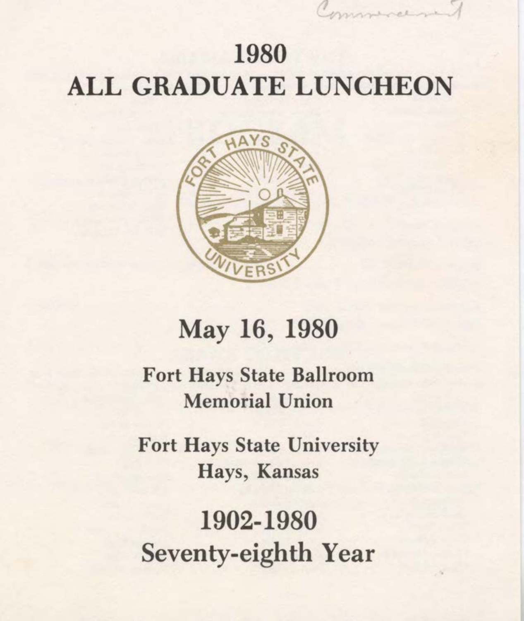## 1980 **ALL GRADUATE LUNCHEON**



## May 16, 1980

**Fort Hays State Ballroom Memorial Union** 

**Fort Hays State University** Hays, Kansas

1902-1980 Seventy-eighth Year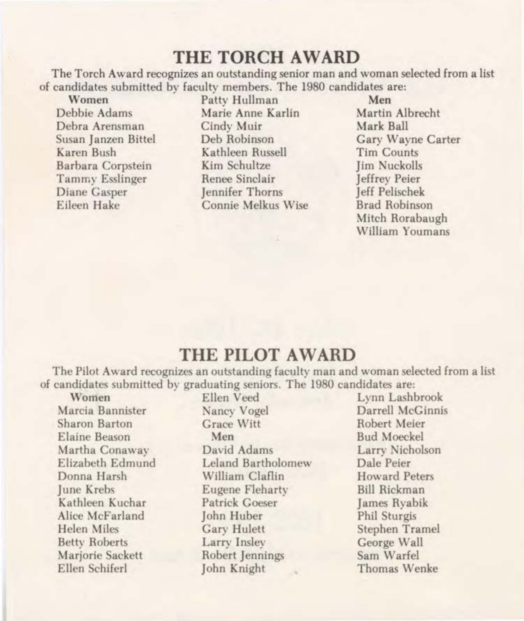#### **THE TORCH AWARD**

The Torch Award recognizes an outstanding senior man and woman selected from a list of candidates submitted by faculty members. The 1980 candidates are:<br>Women Patty Hullman Men

Debra Arensman Cindy Muir<br>Susan Janzen Bittel Deb Robinson

Women Patty Hullman Men<br>
Pebbie Adams Marie Anne Karlin Martin Albrecht Marie Anne Karlin Martin Albrecht<br> Cindy Muir Mark Ball Susan Janzen Bittel Deb Robinson Gary Wayne Carter Kathleen Russell Tim Counts<br>
Kim Schultze Iim Nuckolls Barbara Corpstein Kim Schultze Jim Nuckolls Tammy Esslinger Renee Sinclair Jeffrey Peier<br>Diane Gasper – Jennifer Thorns – Leff Pelischek Diane Gasper Jennifer Thorns Jeff Pelischek Connie Melkus Wise

Mitch Rorabaugh William Youmans

#### **THE PILOT AWARD**

The Pilot Award recognizes an outstanding faculty man and woman selected from a list of candidates submitted by graduating seniors. The 1980 candidates are:

Women Ellen Veed Lynn Lashbrook<br>Marcia Bannister Nancy Vogel Darrell McGinni Sharon Barton Grace Witt

Elaine Beason Men Bud Moeckel Martha Conaway David Adams Larry Nicholson Leland Bartholomew Dale Peier Donna Harsh William Claflin Howard Peters June Krebs Eugene Fleharty Bill Rickman Kathleen Kuchar Patrick Goeser James Ryabik Alice McFarland John Huber Phil Sturgis Helen Miles Gary Hulett Stephen Tramel Betty Roberts **Larry Insley** George Wall Marjorie Sackett Robert Jennings Sam Warfel Ellen Schiferl John Knight Thomas Wenke

Darrell McGinnis<br>Robert Meier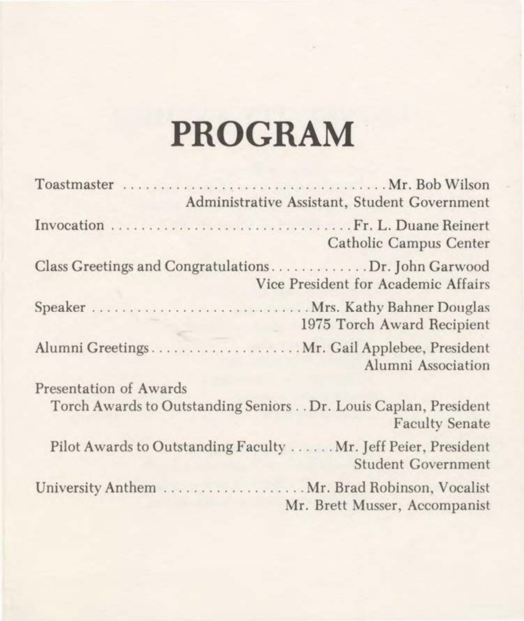# **PROGRAM**

|                        | Administrative Assistant, Student Government                                                |
|------------------------|---------------------------------------------------------------------------------------------|
|                        | Catholic Campus Center                                                                      |
|                        | Class Greetings and CongratulationsDr. John Garwood<br>Vice President for Academic Affairs  |
|                        | Speaker  Mrs. Kathy Bahner Douglas<br>1975 Torch Award Recipient                            |
|                        | Alumni Greetings Mr. Gail Applebee, President<br>Alumni Association                         |
| Presentation of Awards | Torch Awards to Outstanding Seniors Dr. Louis Caplan, President<br><b>Faculty Senate</b>    |
|                        | Pilot Awards to Outstanding Faculty  Mr. Jeff Peier, President<br><b>Student Government</b> |
|                        | Mr. Brett Musser, Accompanist                                                               |